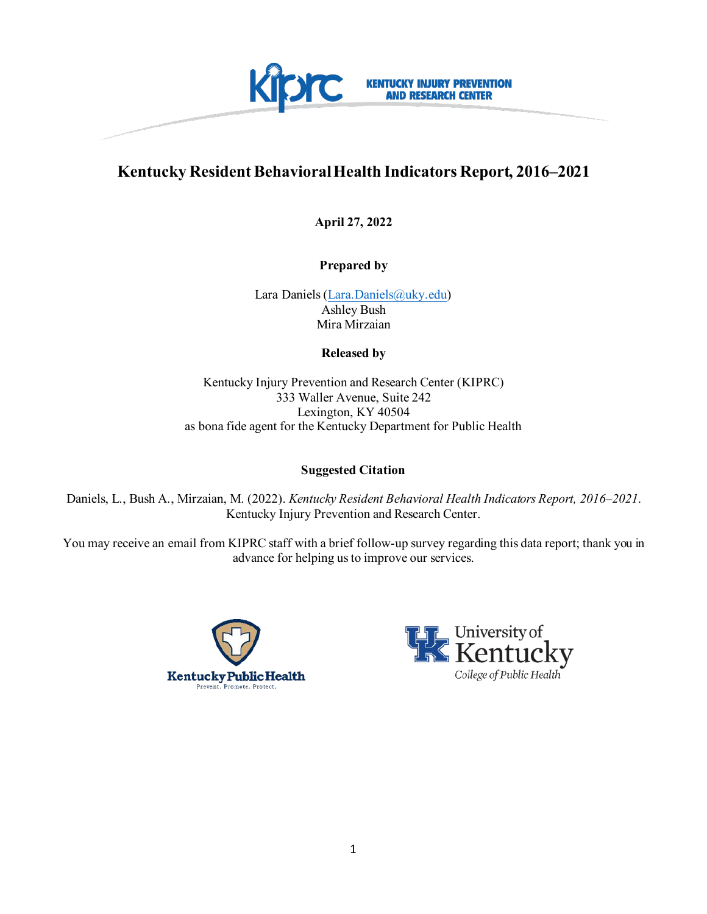

# **Kentucky Resident Behavioral Health Indicators Report, 2016–2021**

**April 27, 2022**

**Prepared by**

Lara Daniels [\(Lara.Daniels@uky.edu\)](mailto:Lara.Daniels@uky.edu) Ashley Bush Mira Mirzaian

## **Released by**

Kentucky Injury Prevention and Research Center (KIPRC) 333 Waller Avenue, Suite 242 Lexington, KY 40504 as bona fide agent for the Kentucky Department for Public Health

## **Suggested Citation**

Daniels, L., Bush A., Mirzaian, M. (2022). *Kentucky Resident Behavioral Health Indicators Report, 2016–2021*. Kentucky Injury Prevention and Research Center.

You may receive an email from KIPRC staff with a brief follow-up survey regarding this data report; thank you in advance for helping us to improve our services.



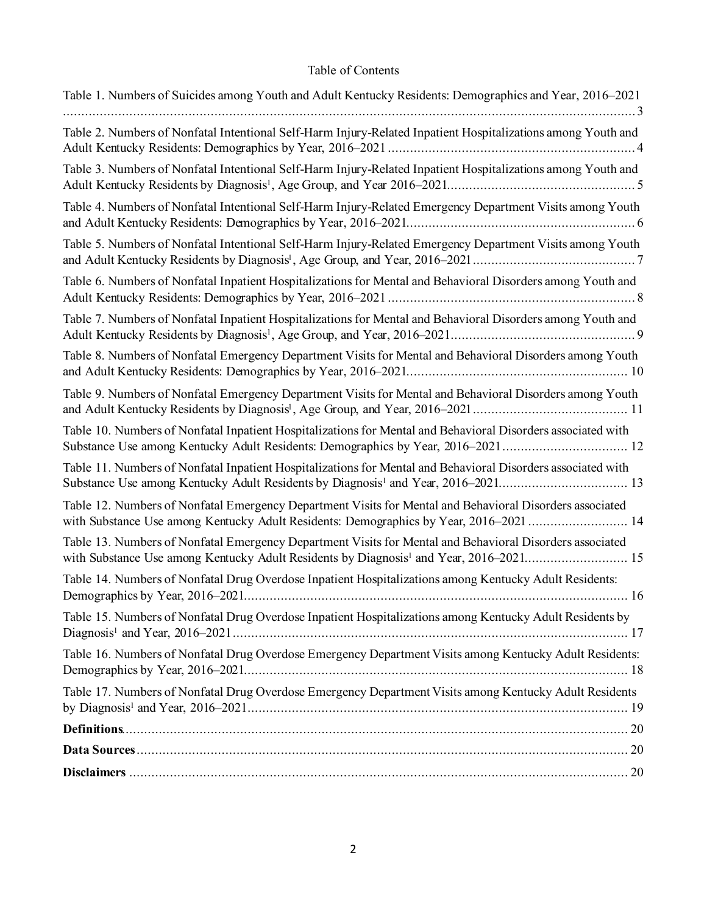## Table of Contents

| Table 1. Numbers of Suicides among Youth and Adult Kentucky Residents: Demographics and Year, 2016–2021                                                                                                        |
|----------------------------------------------------------------------------------------------------------------------------------------------------------------------------------------------------------------|
|                                                                                                                                                                                                                |
| Table 2. Numbers of Nonfatal Intentional Self-Harm Injury-Related Inpatient Hospitalizations among Youth and                                                                                                   |
| Table 3. Numbers of Nonfatal Intentional Self-Harm Injury-Related Inpatient Hospitalizations among Youth and                                                                                                   |
| Table 4. Numbers of Nonfatal Intentional Self-Harm Injury-Related Emergency Department Visits among Youth                                                                                                      |
| Table 5. Numbers of Nonfatal Intentional Self-Harm Injury-Related Emergency Department Visits among Youth                                                                                                      |
| Table 6. Numbers of Nonfatal Inpatient Hospitalizations for Mental and Behavioral Disorders among Youth and                                                                                                    |
| Table 7. Numbers of Nonfatal Inpatient Hospitalizations for Mental and Behavioral Disorders among Youth and                                                                                                    |
| Table 8. Numbers of Nonfatal Emergency Department Visits for Mental and Behavioral Disorders among Youth                                                                                                       |
| Table 9. Numbers of Nonfatal Emergency Department Visits for Mental and Behavioral Disorders among Youth                                                                                                       |
| Table 10. Numbers of Nonfatal Inpatient Hospitalizations for Mental and Behavioral Disorders associated with<br>Substance Use among Kentucky Adult Residents: Demographics by Year, 2016–2021 12               |
| Table 11. Numbers of Nonfatal Inpatient Hospitalizations for Mental and Behavioral Disorders associated with<br>Substance Use among Kentucky Adult Residents by Diagnosis <sup>1</sup> and Year, 2016–2021 13  |
| Table 12. Numbers of Nonfatal Emergency Department Visits for Mental and Behavioral Disorders associated<br>with Substance Use among Kentucky Adult Residents: Demographics by Year, 2016-2021  14             |
| Table 13. Numbers of Nonfatal Emergency Department Visits for Mental and Behavioral Disorders associated<br>with Substance Use among Kentucky Adult Residents by Diagnosis <sup>1</sup> and Year, 2016-2021 15 |
| Table 14. Numbers of Nonfatal Drug Overdose Inpatient Hospitalizations among Kentucky Adult Residents:                                                                                                         |
| Table 15. Numbers of Nonfatal Drug Overdose Inpatient Hospitalizations among Kentucky Adult Residents by                                                                                                       |
| Table 16. Numbers of Nonfatal Drug Overdose Emergency Department Visits among Kentucky Adult Residents:                                                                                                        |
| Table 17. Numbers of Nonfatal Drug Overdose Emergency Department Visits among Kentucky Adult Residents                                                                                                         |
|                                                                                                                                                                                                                |
|                                                                                                                                                                                                                |
|                                                                                                                                                                                                                |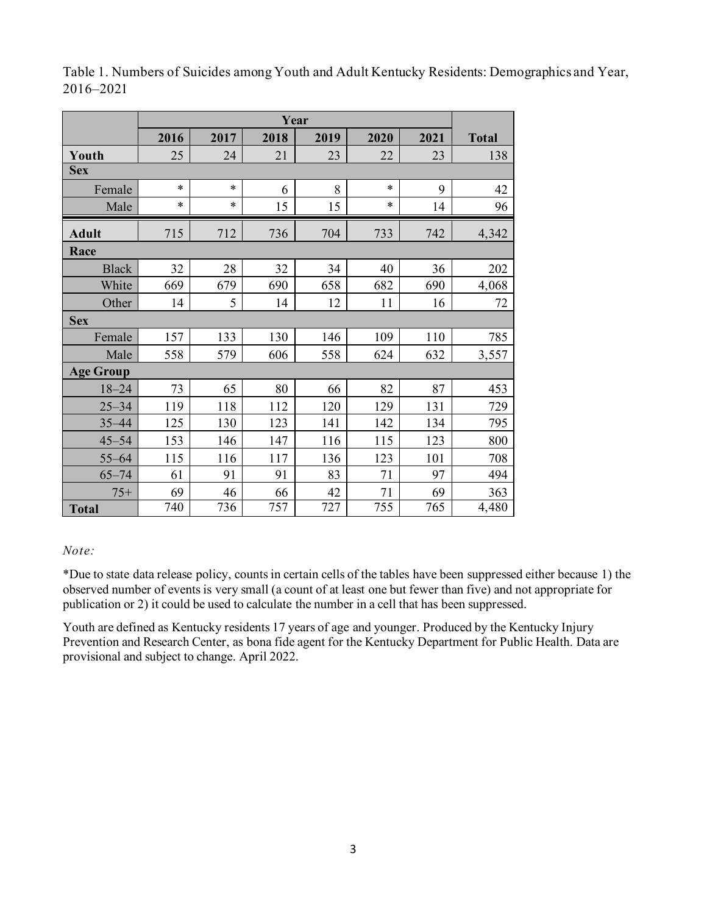|                  |        |        |      | Year |         |                  |              |
|------------------|--------|--------|------|------|---------|------------------|--------------|
|                  | 2016   | 2017   | 2018 | 2019 | 2020    | 2021             | <b>Total</b> |
| Youth            | 25     | 24     | 21   | 23   | 22      | 23               | 138          |
| <b>Sex</b>       |        |        |      |      |         |                  |              |
| Female           | $\ast$ | $\ast$ | 6    | 8    | $\star$ | 9                | 42           |
| Male             | $\ast$ | $\ast$ | 15   | 15   | $\ast$  | 14               | 96           |
| <b>Adult</b>     | 715    | 712    | 736  | 704  | 733     | 742              | 4,342        |
| Race             |        |        |      |      |         |                  |              |
| <b>Black</b>     | 32     | 28     | 32   | 34   | 40      | 36               | 202          |
| White            | 669    | 679    | 690  | 658  | 682     | 690              | 4,068        |
| Other            | 14     | 5      | 14   | 12   | 11      | 16               | 72           |
| <b>Sex</b>       |        |        |      |      |         |                  |              |
| Female           | 157    | 133    | 130  | 146  | 109     | 110              | 785          |
| Male             | 558    | 579    | 606  | 558  | 624     | 632              | 3,557        |
| <b>Age Group</b> |        |        |      |      |         |                  |              |
| $18 - 24$        | 73     | 65     | 80   | 66   | 82      | 87               | 453          |
| $25 - 34$        | 119    | 118    | 112  | 120  | 129     | 131              | 729          |
| $35 - 44$        | 125    | 130    | 123  | 141  | 142     | 134              | 795          |
| $45 - 54$        | 153    | 146    | 147  | 116  | 115     | 123              | 800          |
| $55 - 64$        | 115    | 116    | 117  | 136  | 123     | 101              | 708          |
| $65 - 74$        | 61     | 91     | 91   | 83   | 71      | 97               | 494          |
| $75+$            | 69     | 46     | 66   | 42   | 71      | 69               | 363          |
| <b>Total</b>     | 740    | 736    | 757  | 727  | 755     | $\overline{765}$ | 4,480        |

<span id="page-2-0"></span>Table 1. Numbers of Suicides among Youth and Adult Kentucky Residents: Demographics and Year, 2016–2021

## *Note:*

\*Due to state data release policy, counts in certain cells of the tables have been suppressed either because 1) the observed number of events is very small (a count of at least one but fewer than five) and not appropriate for publication or 2) it could be used to calculate the number in a cell that has been suppressed.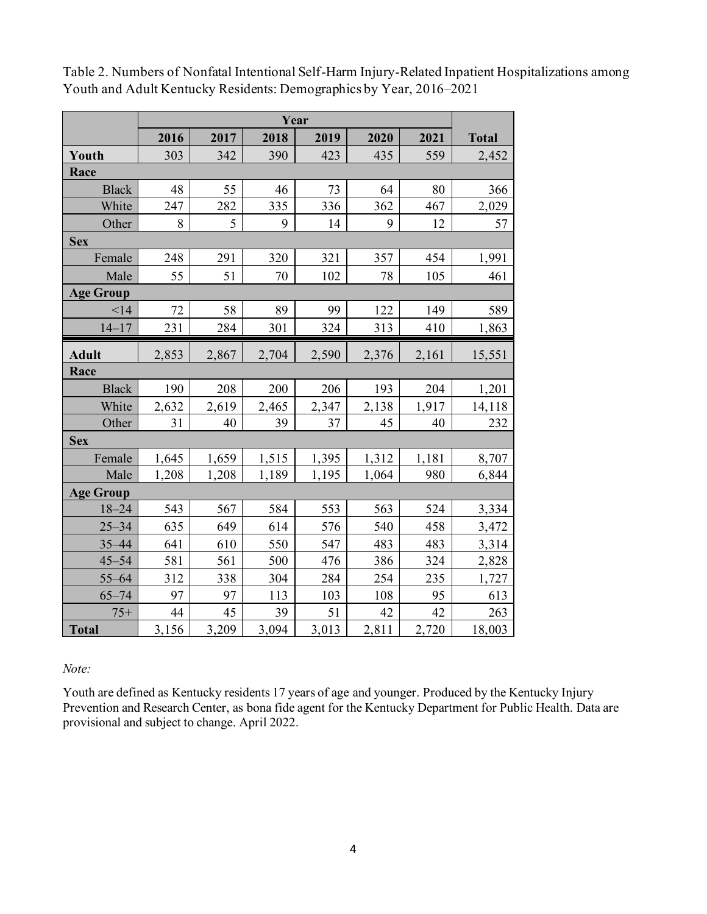|                  |       |       |       | Year  |       |       |              |
|------------------|-------|-------|-------|-------|-------|-------|--------------|
|                  | 2016  | 2017  | 2018  | 2019  | 2020  | 2021  | <b>Total</b> |
| Youth            | 303   | 342   | 390   | 423   | 435   | 559   | 2,452        |
| Race             |       |       |       |       |       |       |              |
| <b>Black</b>     | 48    | 55    | 46    | 73    | 64    | 80    | 366          |
| White            | 247   | 282   | 335   | 336   | 362   | 467   | 2,029        |
| Other            | 8     | 5     | 9     | 14    | 9     | 12    | 57           |
| <b>Sex</b>       |       |       |       |       |       |       |              |
| Female           | 248   | 291   | 320   | 321   | 357   | 454   | 1,991        |
| Male             | 55    | 51    | 70    | 102   | 78    | 105   | 461          |
| <b>Age Group</b> |       |       |       |       |       |       |              |
| <14              | 72    | 58    | 89    | 99    | 122   | 149   | 589          |
| $14 - 17$        | 231   | 284   | 301   | 324   | 313   | 410   | 1,863        |
| <b>Adult</b>     | 2,853 | 2,867 | 2,704 | 2,590 | 2,376 | 2,161 | 15,551       |
| Race             |       |       |       |       |       |       |              |
| <b>Black</b>     | 190   | 208   | 200   | 206   | 193   | 204   | 1,201        |
| White            | 2,632 | 2,619 | 2,465 | 2,347 | 2,138 | 1,917 | 14,118       |
| Other            | 31    | 40    | 39    | 37    | 45    | 40    | 232          |
| <b>Sex</b>       |       |       |       |       |       |       |              |
| Female           | 1,645 | 1,659 | 1,515 | 1,395 | 1,312 | 1,181 | 8,707        |
| Male             | 1,208 | 1,208 | 1,189 | 1,195 | 1,064 | 980   | 6,844        |
| <b>Age Group</b> |       |       |       |       |       |       |              |
| $18 - 24$        | 543   | 567   | 584   | 553   | 563   | 524   | 3,334        |
| $25 - 34$        | 635   | 649   | 614   | 576   | 540   | 458   | 3,472        |
| $35 - 44$        | 641   | 610   | 550   | 547   | 483   | 483   | 3,314        |
| $45 - 54$        | 581   | 561   | 500   | 476   | 386   | 324   | 2,828        |
| $55 - 64$        | 312   | 338   | 304   | 284   | 254   | 235   | 1,727        |
| $65 - 74$        | 97    | 97    | 113   | 103   | 108   | 95    | 613          |
| $75+$            | 44    | 45    | 39    | 51    | 42    | 42    | 263          |
| <b>Total</b>     | 3,156 | 3,209 | 3,094 | 3,013 | 2,811 | 2,720 | 18,003       |

<span id="page-3-0"></span>Table 2. Numbers of Nonfatal Intentional Self-Harm Injury-Related Inpatient Hospitalizations among Youth and Adult Kentucky Residents: Demographics by Year, 2016–2021

### *Note:*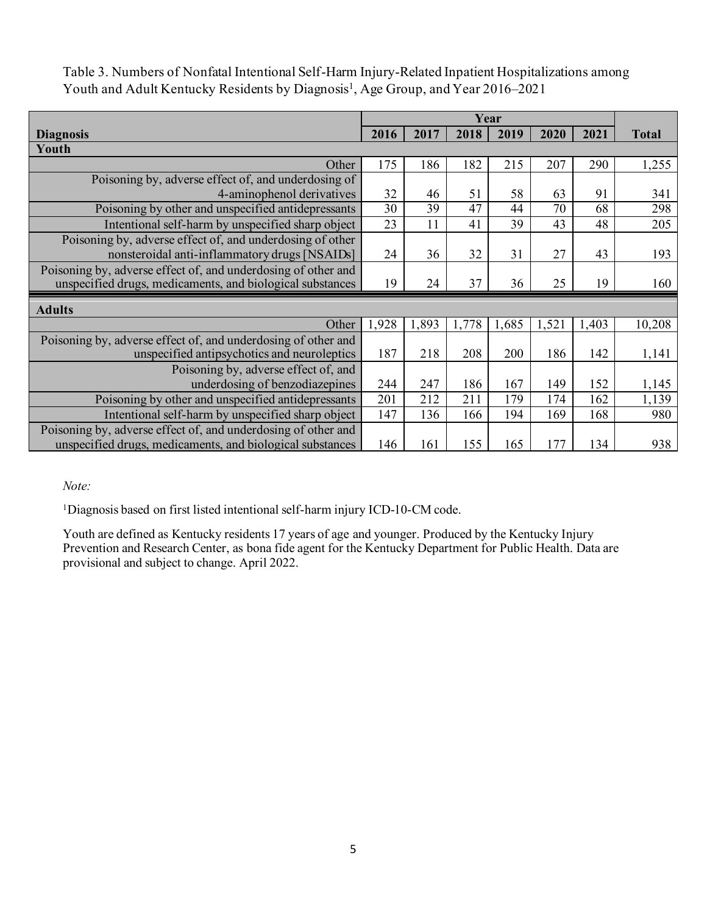|                                                               |       |       |                 | Year  |       |       |              |
|---------------------------------------------------------------|-------|-------|-----------------|-------|-------|-------|--------------|
| <b>Diagnosis</b>                                              | 2016  | 2017  | 2018            | 2019  | 2020  | 2021  | <b>Total</b> |
| Youth                                                         |       |       |                 |       |       |       |              |
| Other                                                         | 175   | 186   | 182             | 215   | 207   | 290   | 1,255        |
| Poisoning by, adverse effect of, and underdosing of           |       |       |                 |       |       |       |              |
| 4-aminophenol derivatives                                     | 32    | 46    | 51              | 58    | 63    | 91    | 341          |
| Poisoning by other and unspecified antidepressants            | 30    | 39    | $\overline{47}$ | 44    | 70    | 68    | 298          |
| Intentional self-harm by unspecified sharp object             | 23    | 11    | 41              | 39    | 43    | 48    | 205          |
| Poisoning by, adverse effect of, and underdosing of other     |       |       |                 |       |       |       |              |
| nonsteroidal anti-inflammatory drugs [NSAIDs]                 | 24    | 36    | 32              | 31    | 27    | 43    | 193          |
| Poisoning by, adverse effect of, and underdosing of other and |       |       |                 |       |       |       |              |
| unspecified drugs, medicaments, and biological substances     | 19    | 24    | 37              | 36    | 25    | 19    | 160          |
| <b>Adults</b>                                                 |       |       |                 |       |       |       |              |
| Other                                                         | 1,928 | 1,893 | 1,778           | 1,685 | 1,521 | 1,403 | 10,208       |
| Poisoning by, adverse effect of, and underdosing of other and |       |       |                 |       |       |       |              |
| unspecified antipsychotics and neuroleptics                   | 187   | 218   | 208             | 200   | 186   | 142   | 1,141        |
| Poisoning by, adverse effect of, and                          |       |       |                 |       |       |       |              |
| underdosing of benzodiazepines                                | 244   | 247   | 186             | 167   | 149   | 152   | 1,145        |
| Poisoning by other and unspecified antidepressants            | 201   | 212   | 211             | 179   | 174   | 162   | 1,139        |
| Intentional self-harm by unspecified sharp object             | 147   | 136   | 166             | 194   | 169   | 168   | 980          |
| Poisoning by, adverse effect of, and underdosing of other and |       |       |                 |       |       |       |              |
| unspecified drugs, medicaments, and biological substances     | 146   | 161   | 155             | 165   | 177   | 134   | 938          |

<span id="page-4-0"></span>Table 3. Numbers of Nonfatal Intentional Self-Harm Injury-Related Inpatient Hospitalizations among Youth and Adult Kentucky Residents by Diagnosis<sup>1</sup>, Age Group, and Year 2016–2021

*Note:* 

<sup>1</sup>Diagnosis based on first listed intentional self-harm injury ICD-10-CM code.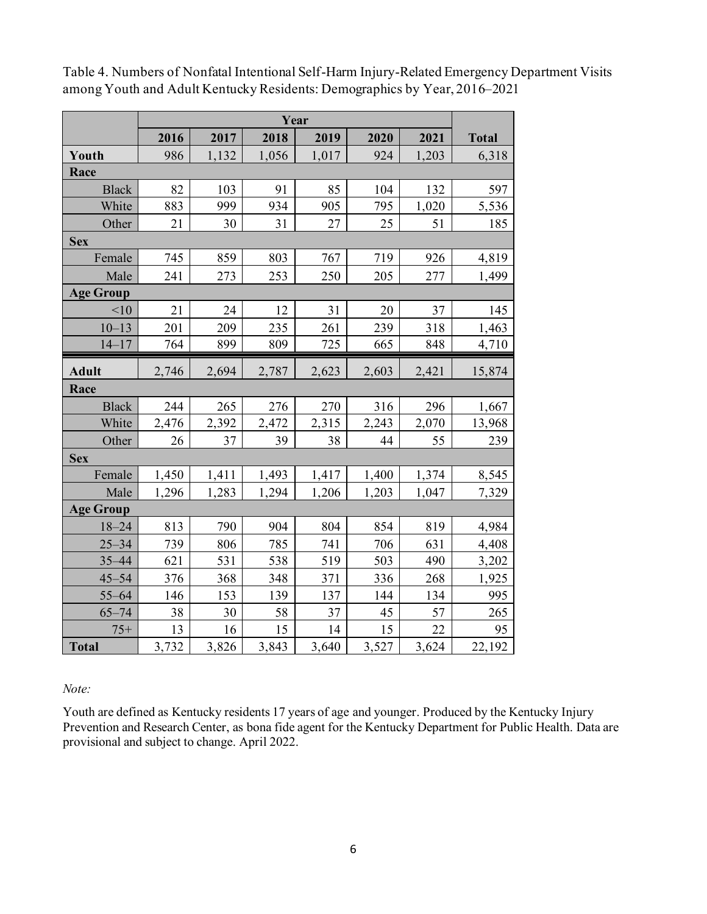|                  | Year  |       |       |       |       |       |              |  |  |
|------------------|-------|-------|-------|-------|-------|-------|--------------|--|--|
|                  | 2016  | 2017  | 2018  | 2019  | 2020  | 2021  | <b>Total</b> |  |  |
| Youth            | 986   | 1,132 | 1,056 | 1,017 | 924   | 1,203 | 6,318        |  |  |
| Race             |       |       |       |       |       |       |              |  |  |
| <b>Black</b>     | 82    | 103   | 91    | 85    | 104   | 132   | 597          |  |  |
| White            | 883   | 999   | 934   | 905   | 795   | 1,020 | 5,536        |  |  |
| Other            | 21    | 30    | 31    | 27    | 25    | 51    | 185          |  |  |
| <b>Sex</b>       |       |       |       |       |       |       |              |  |  |
| Female           | 745   | 859   | 803   | 767   | 719   | 926   | 4,819        |  |  |
| Male             | 241   | 273   | 253   | 250   | 205   | 277   | 1,499        |  |  |
| <b>Age Group</b> |       |       |       |       |       |       |              |  |  |
| < 10             | 21    | 24    | 12    | 31    | 20    | 37    | 145          |  |  |
| $10 - 13$        | 201   | 209   | 235   | 261   | 239   | 318   | 1,463        |  |  |
| $14 - 17$        | 764   | 899   | 809   | 725   | 665   | 848   | 4,710        |  |  |
| <b>Adult</b>     | 2,746 | 2,694 | 2,787 | 2,623 | 2,603 | 2,421 | 15,874       |  |  |
| Race             |       |       |       |       |       |       |              |  |  |
| <b>Black</b>     | 244   | 265   | 276   | 270   | 316   | 296   | 1,667        |  |  |
| White            | 2,476 | 2,392 | 2,472 | 2,315 | 2,243 | 2,070 | 13,968       |  |  |
| Other            | 26    | 37    | 39    | 38    | 44    | 55    | 239          |  |  |
| <b>Sex</b>       |       |       |       |       |       |       |              |  |  |
| Female           | 1,450 | 1,411 | 1,493 | 1,417 | 1,400 | 1,374 | 8,545        |  |  |
| Male             | 1,296 | 1,283 | 1,294 | 1,206 | 1,203 | 1,047 | 7,329        |  |  |
| <b>Age Group</b> |       |       |       |       |       |       |              |  |  |
| $18 - 24$        | 813   | 790   | 904   | 804   | 854   | 819   | 4,984        |  |  |
| $25 - 34$        | 739   | 806   | 785   | 741   | 706   | 631   | 4,408        |  |  |
| $35 - 44$        | 621   | 531   | 538   | 519   | 503   | 490   | 3,202        |  |  |
| $45 - 54$        | 376   | 368   | 348   | 371   | 336   | 268   | 1,925        |  |  |
| $55 - 64$        | 146   | 153   | 139   | 137   | 144   | 134   | 995          |  |  |
| $65 - 74$        | 38    | 30    | 58    | 37    | 45    | 57    | 265          |  |  |
| $75+$            | 13    | 16    | 15    | 14    | 15    | 22    | 95           |  |  |
| <b>Total</b>     | 3,732 | 3,826 | 3,843 | 3,640 | 3,527 | 3,624 | 22,192       |  |  |

<span id="page-5-0"></span>Table 4. Numbers of Nonfatal Intentional Self-Harm Injury-Related Emergency Department Visits among Youth and Adult Kentucky Residents: Demographics by Year, 2016–2021

*Note:*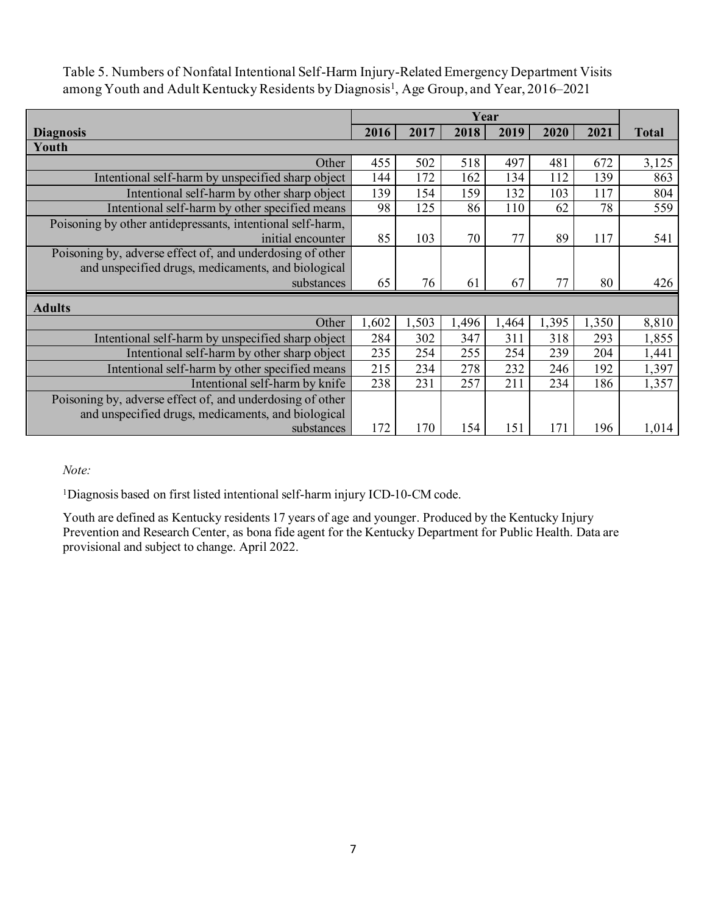| <b>Diagnosis</b>                                           | 2016  | 2017  | 2018  | 2019  | 2020  | 2021  | <b>Total</b> |
|------------------------------------------------------------|-------|-------|-------|-------|-------|-------|--------------|
| Youth                                                      |       |       |       |       |       |       |              |
| Other                                                      | 455   | 502   | 518   | 497   | 481   | 672   | 3,125        |
| Intentional self-harm by unspecified sharp object          | 144   | 172   | 162   | 134   | 112   | 139   | 863          |
| Intentional self-harm by other sharp object                | 139   | 154   | 159   | 132   | 103   | 117   | 804          |
| Intentional self-harm by other specified means             | 98    | 125   | 86    | 110   | 62    | 78    | 559          |
| Poisoning by other antidepressants, intentional self-harm, |       |       |       |       |       |       |              |
| initial encounter                                          | 85    | 103   | 70    | 77    | 89    | 117   | 541          |
| Poisoning by, adverse effect of, and underdosing of other  |       |       |       |       |       |       |              |
| and unspecified drugs, medicaments, and biological         |       |       |       |       |       |       |              |
| substances                                                 | 65    | 76    | 61    | 67    | 77    | 80    | 426          |
| <b>Adults</b>                                              |       |       |       |       |       |       |              |
| Other                                                      | 1,602 | 1,503 | 1,496 | 1,464 | 1,395 | 1,350 | 8,810        |
| Intentional self-harm by unspecified sharp object          | 284   | 302   | 347   | 311   | 318   | 293   | 1,855        |
| Intentional self-harm by other sharp object                | 235   | 254   | 255   | 254   | 239   | 204   | 1,441        |
| Intentional self-harm by other specified means             | 215   | 234   | 278   | 232   | 246   | 192   | 1,397        |
| Intentional self-harm by knife                             | 238   | 231   | 257   | 211   | 234   | 186   | 1,357        |
| Poisoning by, adverse effect of, and underdosing of other  |       |       |       |       |       |       |              |
| and unspecified drugs, medicaments, and biological         |       |       |       |       |       |       |              |
| substances                                                 | 172   | 170   | 154   | 151   | 171   | 196   | 1,014        |

<span id="page-6-0"></span>Table 5. Numbers of Nonfatal Intentional Self-Harm Injury-Related Emergency Department Visits among Youth and Adult Kentucky Residents by Diagnosis1, Age Group, and Year, 2016–2021

### *Note:*

<sup>1</sup>Diagnosis based on first listed intentional self-harm injury ICD-10-CM code.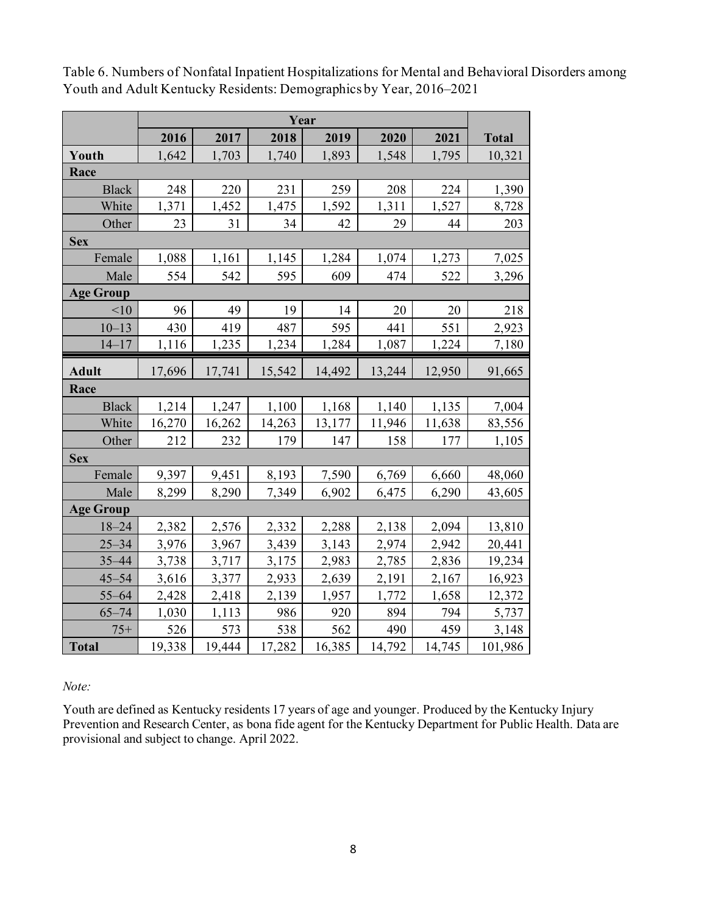|                  |        |        |        | Year   |        |        |              |  |  |  |
|------------------|--------|--------|--------|--------|--------|--------|--------------|--|--|--|
|                  | 2016   | 2017   | 2018   | 2019   | 2020   | 2021   | <b>Total</b> |  |  |  |
| Youth            | 1,642  | 1,703  | 1,740  | 1,893  | 1,548  | 1,795  | 10,321       |  |  |  |
| Race             |        |        |        |        |        |        |              |  |  |  |
| <b>Black</b>     | 248    | 220    | 231    | 259    | 208    | 224    | 1,390        |  |  |  |
| White            | 1,371  | 1,452  | 1,475  | 1,592  | 1,311  | 1,527  | 8,728        |  |  |  |
| Other            | 23     | 31     | 34     | 42     | 29     | 44     | 203          |  |  |  |
| <b>Sex</b>       |        |        |        |        |        |        |              |  |  |  |
| Female           | 1,088  | 1,161  | 1,145  | 1,284  | 1,074  | 1,273  | 7,025        |  |  |  |
| Male             | 554    | 542    | 595    | 609    | 474    | 522    | 3,296        |  |  |  |
| <b>Age Group</b> |        |        |        |        |        |        |              |  |  |  |
| < 10             | 96     | 49     | 19     | 14     | 20     | 20     | 218          |  |  |  |
| $10 - 13$        | 430    | 419    | 487    | 595    | 441    | 551    | 2,923        |  |  |  |
| $14 - 17$        | 1,116  | 1,235  | 1,234  | 1,284  | 1,087  | 1,224  | 7,180        |  |  |  |
| <b>Adult</b>     | 17,696 | 17,741 | 15,542 | 14,492 | 13,244 | 12,950 | 91,665       |  |  |  |
| Race             |        |        |        |        |        |        |              |  |  |  |
| <b>Black</b>     | 1,214  | 1,247  | 1,100  | 1,168  | 1,140  | 1,135  | 7,004        |  |  |  |
| White            | 16,270 | 16,262 | 14,263 | 13,177 | 11,946 | 11,638 | 83,556       |  |  |  |
| Other            | 212    | 232    | 179    | 147    | 158    | 177    | 1,105        |  |  |  |
| <b>Sex</b>       |        |        |        |        |        |        |              |  |  |  |
| Female           | 9,397  | 9,451  | 8,193  | 7,590  | 6,769  | 6,660  | 48,060       |  |  |  |
| Male             | 8,299  | 8,290  | 7,349  | 6,902  | 6,475  | 6,290  | 43,605       |  |  |  |
| <b>Age Group</b> |        |        |        |        |        |        |              |  |  |  |
| $18 - 24$        | 2,382  | 2,576  | 2,332  | 2,288  | 2,138  | 2,094  | 13,810       |  |  |  |
| $25 - 34$        | 3,976  | 3,967  | 3,439  | 3,143  | 2,974  | 2,942  | 20,441       |  |  |  |
| $35 - 44$        | 3,738  | 3,717  | 3,175  | 2,983  | 2,785  | 2,836  | 19,234       |  |  |  |
| $45 - 54$        | 3,616  | 3,377  | 2,933  | 2,639  | 2,191  | 2,167  | 16,923       |  |  |  |
| $55 - 64$        | 2,428  | 2,418  | 2,139  | 1,957  | 1,772  | 1,658  | 12,372       |  |  |  |
| $65 - 74$        | 1,030  | 1,113  | 986    | 920    | 894    | 794    | 5,737        |  |  |  |
| $75+$            | 526    | 573    | 538    | 562    | 490    | 459    | 3,148        |  |  |  |
| <b>Total</b>     | 19,338 | 19,444 | 17,282 | 16,385 | 14,792 | 14,745 | 101,986      |  |  |  |

<span id="page-7-0"></span>Table 6. Numbers of Nonfatal Inpatient Hospitalizations for Mental and Behavioral Disorders among Youth and Adult Kentucky Residents: Demographics by Year, 2016–2021

*Note:*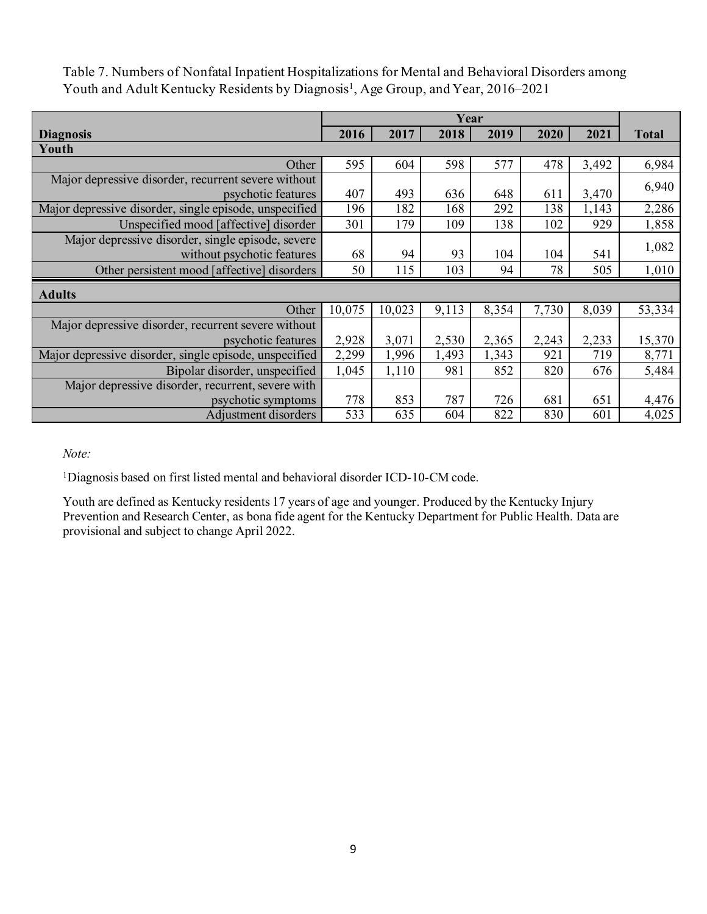| <b>Diagnosis</b>                                       | 2016   | 2017   | 2018  | 2019  | 2020  | 2021  | <b>Total</b>       |
|--------------------------------------------------------|--------|--------|-------|-------|-------|-------|--------------------|
| Youth                                                  |        |        |       |       |       |       |                    |
| Other                                                  | 595    | 604    | 598   | 577   | 478   | 3,492 | 6,984              |
| Major depressive disorder, recurrent severe without    |        |        |       |       |       |       | 6,940              |
| psychotic features                                     | 407    | 493    | 636   | 648   | 611   | 3,470 |                    |
| Major depressive disorder, single episode, unspecified | 196    | 182    | 168   | 292   | 138   | 1,143 | 2,286              |
| Unspecified mood [affective] disorder                  | 301    | 179    | 109   | 138   | 102   | 929   | 1,858              |
| Major depressive disorder, single episode, severe      |        |        |       |       |       |       | 1,082              |
| without psychotic features                             | 68     | 94     | 93    | 104   | 104   | 541   |                    |
| Other persistent mood [affective] disorders            | 50     | 115    | 103   | 94    | 78    | 505   | 1,010              |
| <b>Adults</b>                                          |        |        |       |       |       |       |                    |
| Other                                                  | 10,075 | 10,023 | 9,113 | 8,354 | 7,730 | 8,039 | 53,334             |
| Major depressive disorder, recurrent severe without    |        |        |       |       |       |       |                    |
| psychotic features                                     | 2,928  | 3,071  | 2,530 | 2,365 | 2,243 | 2,233 | 15,370             |
| Major depressive disorder, single episode, unspecified | 2,299  | 1,996  | 1,493 | 1,343 | 921   | 719   | $8,77\overline{1}$ |
| Bipolar disorder, unspecified                          | 1,045  | 1,110  | 981   | 852   | 820   | 676   | 5,484              |
| Major depressive disorder, recurrent, severe with      |        |        |       |       |       |       |                    |
| psychotic symptoms                                     | 778    | 853    | 787   | 726   | 681   | 651   | 4,476              |
| Adjustment disorders                                   | 533    | 635    | 604   | 822   | 830   | 601   | 4,025              |

<span id="page-8-0"></span>Table 7. Numbers of Nonfatal Inpatient Hospitalizations for Mental and Behavioral Disorders among Youth and Adult Kentucky Residents by Diagnosis<sup>1</sup>, Age Group, and Year, 2016–2021

*Note:* 

<sup>1</sup>Diagnosis based on first listed mental and behavioral disorder ICD-10-CM code.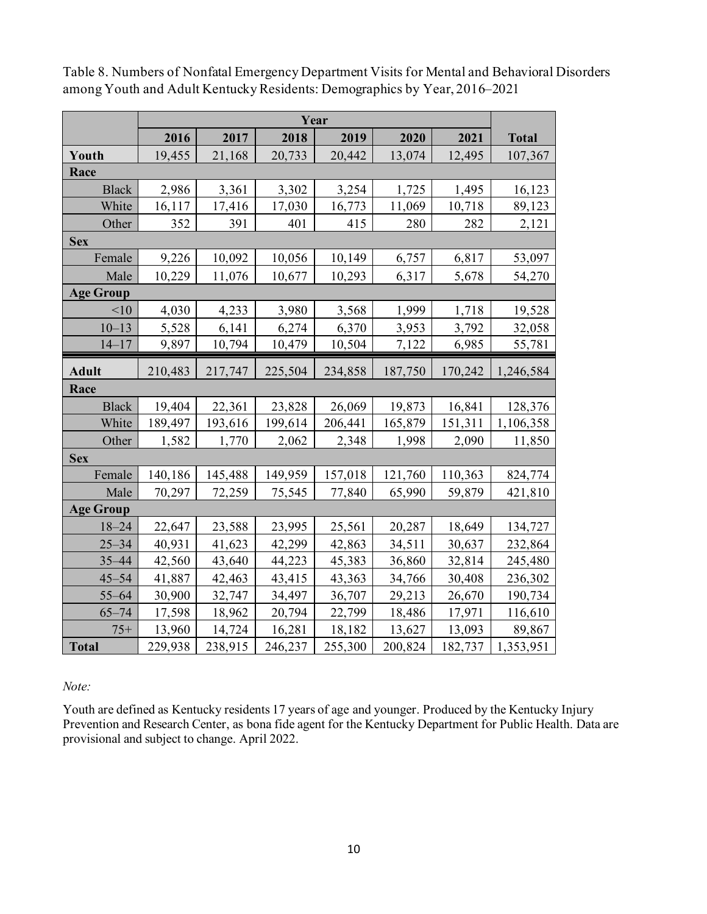|                  |         |         | Year    |         |         |         |              |
|------------------|---------|---------|---------|---------|---------|---------|--------------|
|                  | 2016    | 2017    | 2018    | 2019    | 2020    | 2021    | <b>Total</b> |
| Youth            | 19,455  | 21,168  | 20,733  | 20,442  | 13,074  | 12,495  | 107,367      |
| Race             |         |         |         |         |         |         |              |
| <b>Black</b>     | 2,986   | 3,361   | 3,302   | 3,254   | 1,725   | 1,495   | 16,123       |
| White            | 16,117  | 17,416  | 17,030  | 16,773  | 11,069  | 10,718  | 89,123       |
| Other            | 352     | 391     | 401     | 415     | 280     | 282     | 2,121        |
| <b>Sex</b>       |         |         |         |         |         |         |              |
| Female           | 9,226   | 10,092  | 10,056  | 10,149  | 6,757   | 6,817   | 53,097       |
| Male             | 10,229  | 11,076  | 10,677  | 10,293  | 6,317   | 5,678   | 54,270       |
| <b>Age Group</b> |         |         |         |         |         |         |              |
| < 10             | 4,030   | 4,233   | 3,980   | 3,568   | 1,999   | 1,718   | 19,528       |
| $10 - 13$        | 5,528   | 6,141   | 6,274   | 6,370   | 3,953   | 3,792   | 32,058       |
| $14 - 17$        | 9,897   | 10,794  | 10,479  | 10,504  | 7,122   | 6,985   | 55,781       |
| <b>Adult</b>     | 210,483 | 217,747 | 225,504 | 234,858 | 187,750 | 170,242 | 1,246,584    |
| Race             |         |         |         |         |         |         |              |
| <b>Black</b>     | 19,404  | 22,361  | 23,828  | 26,069  | 19,873  | 16,841  | 128,376      |
| White            | 189,497 | 193,616 | 199,614 | 206,441 | 165,879 | 151,311 | 1,106,358    |
| Other            | 1,582   | 1,770   | 2,062   | 2,348   | 1,998   | 2,090   | 11,850       |
| <b>Sex</b>       |         |         |         |         |         |         |              |
| Female           | 140,186 | 145,488 | 149,959 | 157,018 | 121,760 | 110,363 | 824,774      |
| Male             | 70,297  | 72,259  | 75,545  | 77,840  | 65,990  | 59,879  | 421,810      |
| <b>Age Group</b> |         |         |         |         |         |         |              |
| $18 - 24$        | 22,647  | 23,588  | 23,995  | 25,561  | 20,287  | 18,649  | 134,727      |
| $25 - 34$        | 40,931  | 41,623  | 42,299  | 42,863  | 34,511  | 30,637  | 232,864      |
| $35 - 44$        | 42,560  | 43,640  | 44,223  | 45,383  | 36,860  | 32,814  | 245,480      |
| $45 - 54$        | 41,887  | 42,463  | 43,415  | 43,363  | 34,766  | 30,408  | 236,302      |
| $55 - 64$        | 30,900  | 32,747  | 34,497  | 36,707  | 29,213  | 26,670  | 190,734      |
| $65 - 74$        | 17,598  | 18,962  | 20,794  | 22,799  | 18,486  | 17,971  | 116,610      |
| $75+$            | 13,960  | 14,724  | 16,281  | 18,182  | 13,627  | 13,093  | 89,867       |
| <b>Total</b>     | 229,938 | 238,915 | 246,237 | 255,300 | 200,824 | 182,737 | 1,353,951    |

<span id="page-9-0"></span>Table 8. Numbers of Nonfatal Emergency Department Visits for Mental and Behavioral Disorders among Youth and Adult Kentucky Residents: Demographics by Year, 2016–2021

*Note:*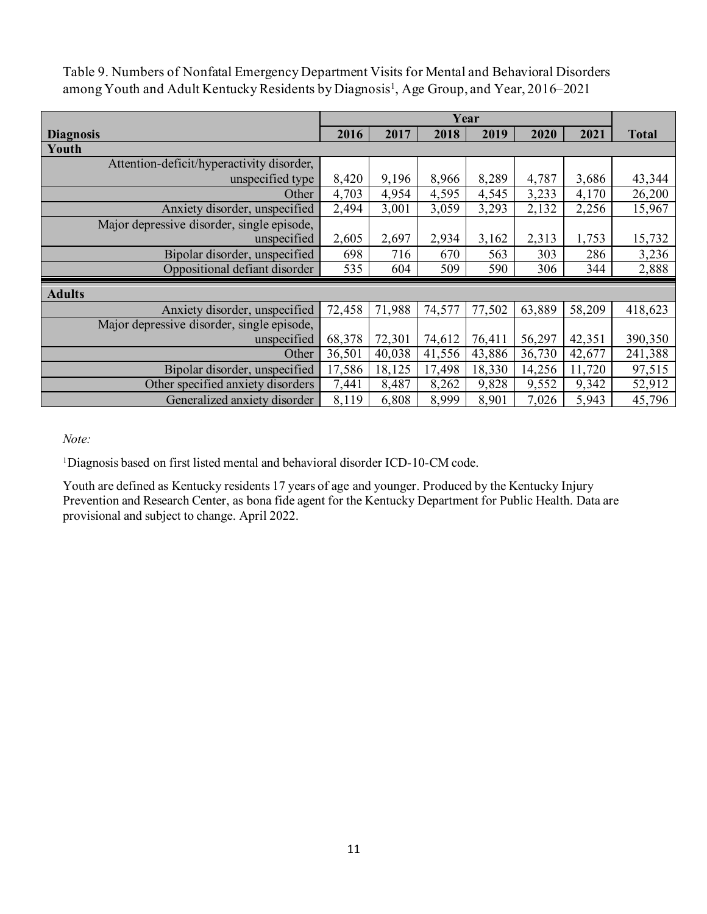|                                            |        | Year   |        |        |        |        |              |  |  |
|--------------------------------------------|--------|--------|--------|--------|--------|--------|--------------|--|--|
| <b>Diagnosis</b>                           | 2016   | 2017   | 2018   | 2019   | 2020   | 2021   | <b>Total</b> |  |  |
| Youth                                      |        |        |        |        |        |        |              |  |  |
| Attention-deficit/hyperactivity disorder,  |        |        |        |        |        |        |              |  |  |
| unspecified type                           | 8,420  | 9,196  | 8,966  | 8,289  | 4,787  | 3,686  | 43,344       |  |  |
| Other                                      | 4,703  | 4,954  | 4,595  | 4,545  | 3,233  | 4,170  | 26,200       |  |  |
| Anxiety disorder, unspecified              | 2,494  | 3,001  | 3,059  | 3,293  | 2,132  | 2,256  | 15,967       |  |  |
| Major depressive disorder, single episode, |        |        |        |        |        |        |              |  |  |
| unspecified                                | 2,605  | 2,697  | 2,934  | 3,162  | 2,313  | 1,753  | 15,732       |  |  |
| Bipolar disorder, unspecified              | 698    | 716    | 670    | 563    | 303    | 286    | 3,236        |  |  |
| Oppositional defiant disorder              | 535    | 604    | 509    | 590    | 306    | 344    | 2,888        |  |  |
| <b>Adults</b>                              |        |        |        |        |        |        |              |  |  |
| Anxiety disorder, unspecified              | 72,458 | 71,988 | 74,577 | 77,502 | 63,889 | 58,209 | 418,623      |  |  |
| Major depressive disorder, single episode, |        |        |        |        |        |        |              |  |  |
| unspecified                                | 68,378 | 72,301 | 74,612 | 76,411 | 56,297 | 42,351 | 390,350      |  |  |
| Other                                      | 36,501 | 40,038 | 41,556 | 43,886 | 36,730 | 42,677 | 241,388      |  |  |
| Bipolar disorder, unspecified              | 17,586 | 18,125 | 17,498 | 18,330 | 14,256 | 11,720 | 97,515       |  |  |
| Other specified anxiety disorders          | 7,441  | 8,487  | 8,262  | 9,828  | 9,552  | 9,342  | 52,912       |  |  |
| Generalized anxiety disorder               | 8,119  | 6,808  | 8,999  | 8,901  | 7,026  | 5,943  | 45,796       |  |  |

<span id="page-10-0"></span>Table 9. Numbers of Nonfatal Emergency Department Visits for Mental and Behavioral Disorders among Youth and Adult Kentucky Residents by Diagnosis1, Age Group, and Year, 2016–2021

*Note:* 

<sup>1</sup>Diagnosis based on first listed mental and behavioral disorder ICD-10-CM code.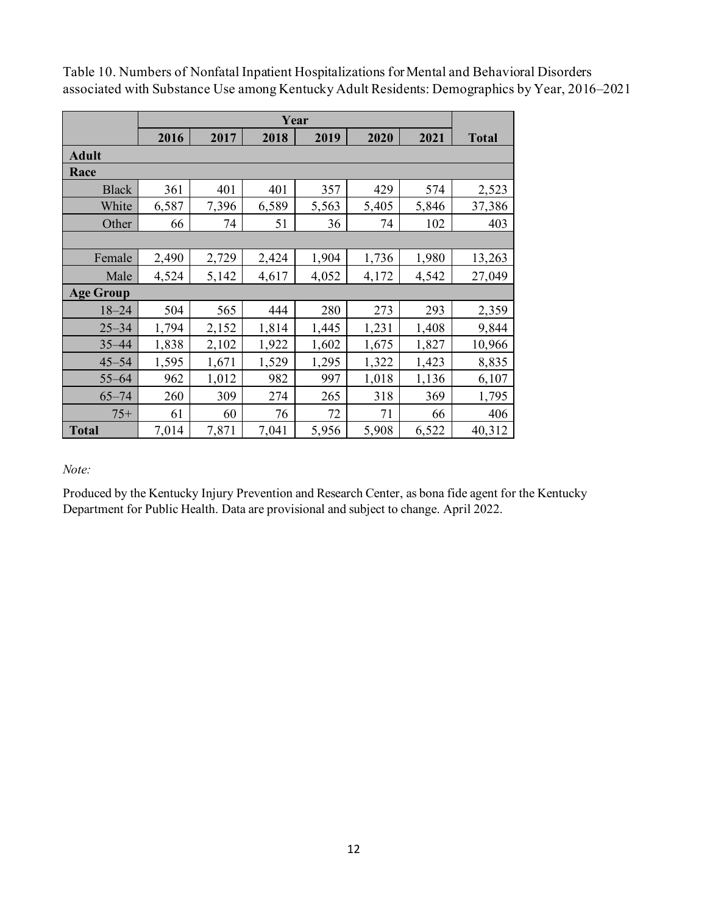|                  |       |       |       | Year  |       |       |              |
|------------------|-------|-------|-------|-------|-------|-------|--------------|
|                  | 2016  | 2017  | 2018  | 2019  | 2020  | 2021  | <b>Total</b> |
| <b>Adult</b>     |       |       |       |       |       |       |              |
| Race             |       |       |       |       |       |       |              |
| <b>Black</b>     | 361   | 401   | 401   | 357   | 429   | 574   | 2,523        |
| White            | 6,587 | 7,396 | 6,589 | 5,563 | 5,405 | 5,846 | 37,386       |
| Other            | 66    | 74    | 51    | 36    | 74    | 102   | 403          |
|                  |       |       |       |       |       |       |              |
| Female           | 2,490 | 2,729 | 2,424 | 1,904 | 1,736 | 1,980 | 13,263       |
| Male             | 4,524 | 5,142 | 4,617 | 4,052 | 4,172 | 4,542 | 27,049       |
| <b>Age Group</b> |       |       |       |       |       |       |              |
| $18 - 24$        | 504   | 565   | 444   | 280   | 273   | 293   | 2,359        |
| $25 - 34$        | 1,794 | 2,152 | 1,814 | 1,445 | 1,231 | 1,408 | 9,844        |
| $35 - 44$        | 1,838 | 2,102 | 1,922 | 1,602 | 1,675 | 1,827 | 10,966       |
| $45 - 54$        | 1,595 | 1,671 | 1,529 | 1,295 | 1,322 | 1,423 | 8,835        |
| $55 - 64$        | 962   | 1,012 | 982   | 997   | 1,018 | 1,136 | 6,107        |
| $65 - 74$        | 260   | 309   | 274   | 265   | 318   | 369   | 1,795        |
| $75+$            | 61    | 60    | 76    | 72    | 71    | 66    | 406          |
| <b>Total</b>     | 7,014 | 7,871 | 7,041 | 5,956 | 5,908 | 6,522 | 40,312       |

<span id="page-11-0"></span>Table 10. Numbers of Nonfatal Inpatient Hospitalizations for Mental and Behavioral Disorders associated with Substance Use among Kentucky Adult Residents: Demographics by Year, 2016–2021

#### *Note:*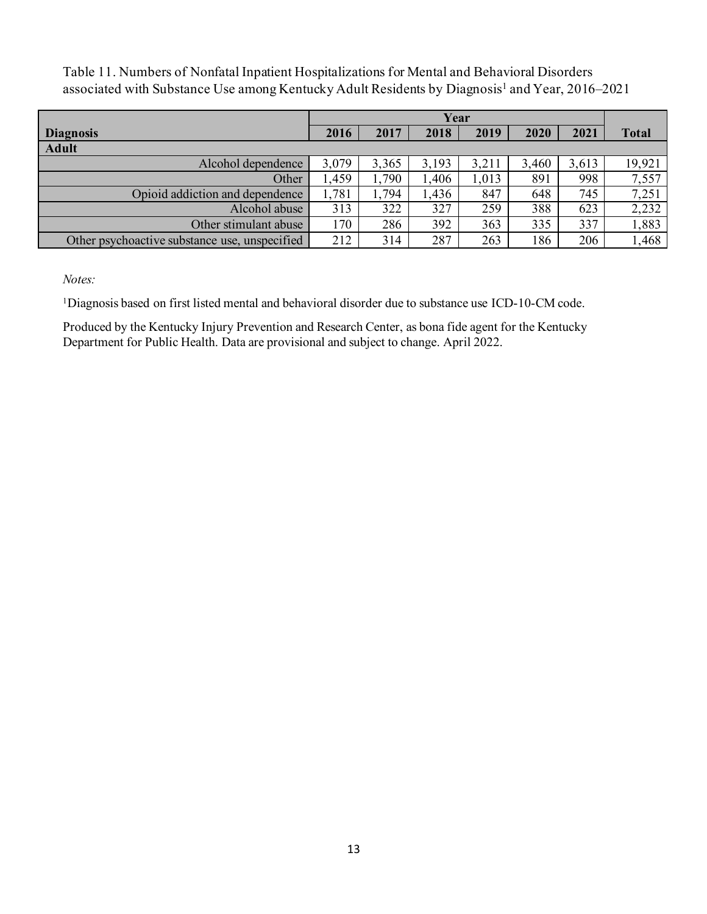<span id="page-12-0"></span>Table 11. Numbers of Nonfatal Inpatient Hospitalizations for Mental and Behavioral Disorders associated with Substance Use among Kentucky Adult Residents by Diagnosis<sup>1</sup> and Year, 2016–2021

|                                               |       | Year  |       |       |       |       |              |  |  |  |
|-----------------------------------------------|-------|-------|-------|-------|-------|-------|--------------|--|--|--|
| <b>Diagnosis</b>                              | 2016  | 2017  | 2018  | 2019  | 2020  | 2021  | <b>Total</b> |  |  |  |
| <b>Adult</b>                                  |       |       |       |       |       |       |              |  |  |  |
| Alcohol dependence                            | 3,079 | 3,365 | 3,193 | 3,211 | 3,460 | 3,613 | 19,921       |  |  |  |
| Other                                         | ,459  | 790   | 1,406 | 1,013 | 891   | 998   | 7,557        |  |  |  |
| Opioid addiction and dependence               | ,781  | 794   | 1,436 | 847   | 648   | 745   | 7,251        |  |  |  |
| Alcohol abuse                                 | 313   | 322   | 327   | 259   | 388   | 623   | 2,232        |  |  |  |
| Other stimulant abuse                         | 170   | 286   | 392   | 363   | 335   | 337   | 1,883        |  |  |  |
| Other psychoactive substance use, unspecified | 212   | 314   | 287   | 263   | 186   | 206   | 1,468        |  |  |  |

*Notes:* 

<sup>1</sup>Diagnosis based on first listed mental and behavioral disorder due to substance use ICD-10-CM code.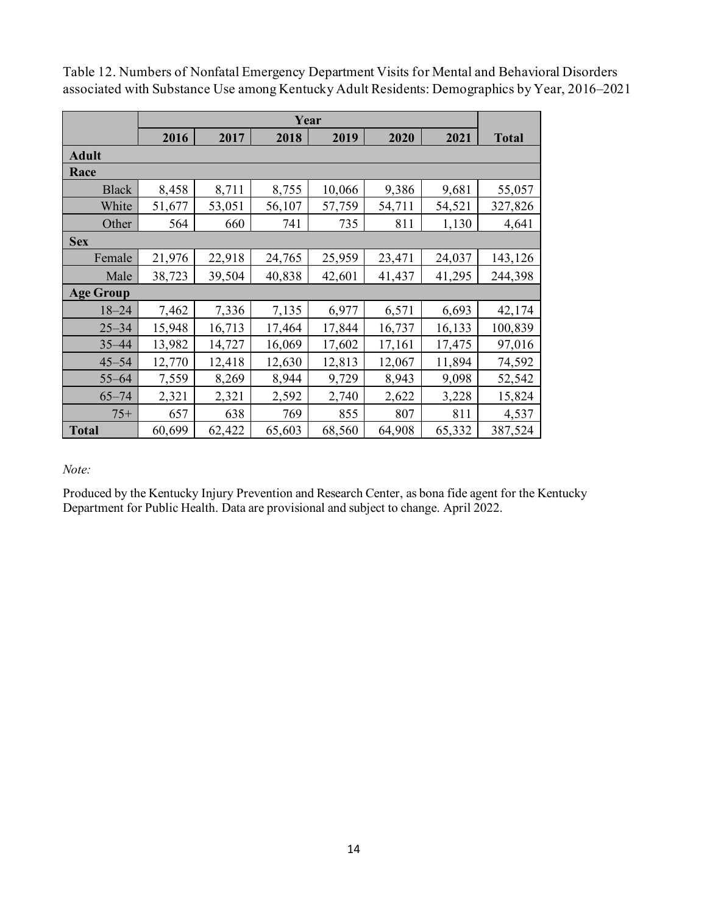|                  | Year   |        |        |        |        |        |              |  |
|------------------|--------|--------|--------|--------|--------|--------|--------------|--|
|                  | 2016   | 2017   | 2018   | 2019   | 2020   | 2021   | <b>Total</b> |  |
| <b>Adult</b>     |        |        |        |        |        |        |              |  |
| Race             |        |        |        |        |        |        |              |  |
| <b>Black</b>     | 8,458  | 8,711  | 8,755  | 10,066 | 9,386  | 9,681  | 55,057       |  |
| White            | 51,677 | 53,051 | 56,107 | 57,759 | 54,711 | 54,521 | 327,826      |  |
| Other            | 564    | 660    | 741    | 735    | 811    | 1,130  | 4,641        |  |
| <b>Sex</b>       |        |        |        |        |        |        |              |  |
| Female           | 21,976 | 22,918 | 24,765 | 25,959 | 23,471 | 24,037 | 143,126      |  |
| Male             | 38,723 | 39,504 | 40,838 | 42,601 | 41,437 | 41,295 | 244,398      |  |
| <b>Age Group</b> |        |        |        |        |        |        |              |  |
| $18 - 24$        | 7,462  | 7,336  | 7,135  | 6,977  | 6,571  | 6,693  | 42,174       |  |
| $25 - 34$        | 15,948 | 16,713 | 17,464 | 17,844 | 16,737 | 16,133 | 100,839      |  |
| $35 - 44$        | 13,982 | 14,727 | 16,069 | 17,602 | 17,161 | 17,475 | 97,016       |  |
| $45 - 54$        | 12,770 | 12,418 | 12,630 | 12,813 | 12,067 | 11,894 | 74,592       |  |
| $55 - 64$        | 7,559  | 8,269  | 8,944  | 9,729  | 8,943  | 9,098  | 52,542       |  |
| $65 - 74$        | 2,321  | 2,321  | 2,592  | 2,740  | 2,622  | 3,228  | 15,824       |  |
| $75+$            | 657    | 638    | 769    | 855    | 807    | 811    | 4,537        |  |
| <b>Total</b>     | 60,699 | 62,422 | 65,603 | 68,560 | 64,908 | 65,332 | 387,524      |  |

<span id="page-13-0"></span>Table 12. Numbers of Nonfatal Emergency Department Visits for Mental and Behavioral Disorders associated with Substance Use among Kentucky Adult Residents: Demographics by Year, 2016–2021

#### *Note:*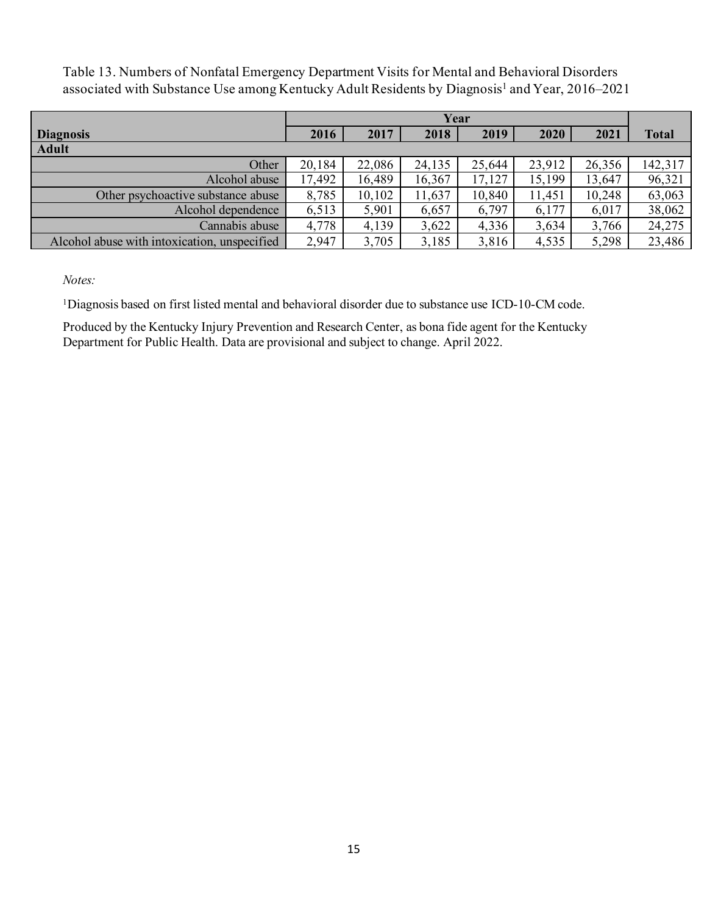<span id="page-14-0"></span>Table 13. Numbers of Nonfatal Emergency Department Visits for Mental and Behavioral Disorders associated with Substance Use among Kentucky Adult Residents by Diagnosis<sup>1</sup> and Year, 2016–2021

| <b>Diagnosis</b>                             | 2016   | 2017   | 2018   | 2019   | 2020   | 2021   | <b>Total</b> |
|----------------------------------------------|--------|--------|--------|--------|--------|--------|--------------|
| <b>Adult</b>                                 |        |        |        |        |        |        |              |
| Other                                        | 20,184 | 22,086 | 24,135 | 25,644 | 23,912 | 26,356 | 142,317      |
| Alcohol abuse                                | 17,492 | 16,489 | 16,367 | 17,127 | 15,199 | 13,647 | 96,321       |
| Other psychoactive substance abuse           | 8,785  | 10,102 | 11,637 | 10,840 | 11,451 | 10,248 | 63,063       |
| Alcohol dependence                           | 6,513  | 5,901  | 6,657  | 6,797  | 6,177  | 6,017  | 38,062       |
| Cannabis abuse                               | 4,778  | 4,139  | 3,622  | 4,336  | 3,634  | 3,766  | 24,275       |
| Alcohol abuse with intoxication, unspecified | 2,947  | 3,705  | 3,185  | 3,816  | 4,535  | 5,298  | 23,486       |

*Notes:* 

<sup>1</sup>Diagnosis based on first listed mental and behavioral disorder due to substance use ICD-10-CM code.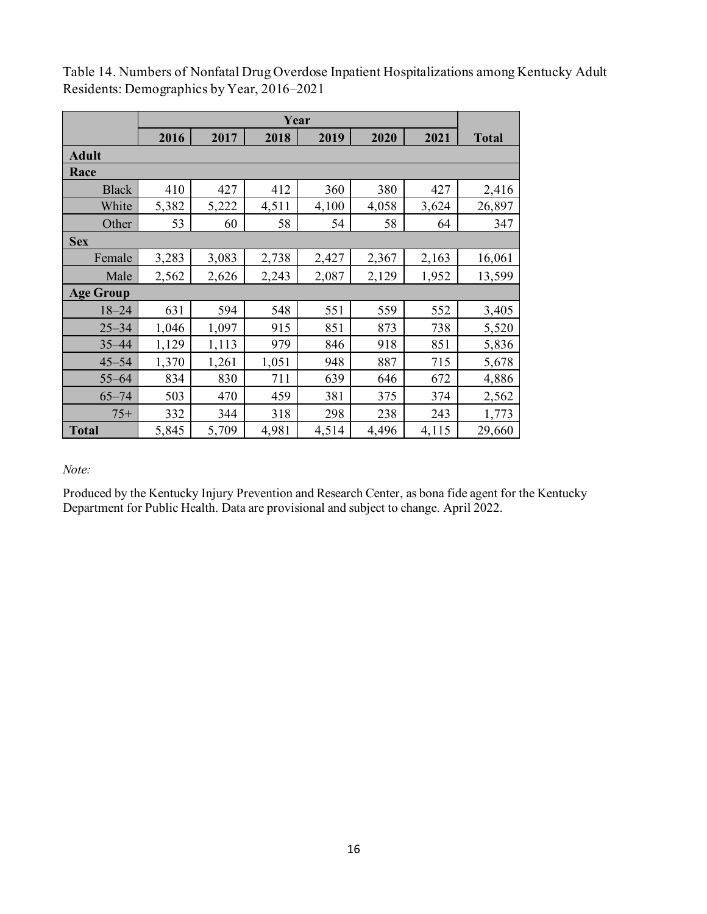|                  | Year  |       |       |       |       |       |              |  |
|------------------|-------|-------|-------|-------|-------|-------|--------------|--|
|                  | 2016  | 2017  | 2018  | 2019  | 2020  | 2021  | <b>Total</b> |  |
| <b>Adult</b>     |       |       |       |       |       |       |              |  |
| Race             |       |       |       |       |       |       |              |  |
| <b>Black</b>     | 410   | 427   | 412   | 360   | 380   | 427   | 2,416        |  |
| White            | 5,382 | 5,222 | 4,511 | 4,100 | 4,058 | 3,624 | 26,897       |  |
| Other            | 53    | 60    | 58    | 54    | 58    | 64    | 347          |  |
| <b>Sex</b>       |       |       |       |       |       |       |              |  |
| Female           | 3,283 | 3,083 | 2,738 | 2,427 | 2,367 | 2,163 | 16,061       |  |
| Male             | 2,562 | 2,626 | 2,243 | 2,087 | 2,129 | 1,952 | 13,599       |  |
| <b>Age Group</b> |       |       |       |       |       |       |              |  |
| $18 - 24$        | 631   | 594   | 548   | 551   | 559   | 552   | 3,405        |  |
| $25 - 34$        | 1,046 | 1,097 | 915   | 851   | 873   | 738   | 5,520        |  |
| $35 - 44$        | 1,129 | 1,113 | 979   | 846   | 918   | 851   | 5,836        |  |
| $45 - 54$        | 1,370 | 1,261 | 1,051 | 948   | 887   | 715   | 5,678        |  |
| $55 - 64$        | 834   | 830   | 711   | 639   | 646   | 672   | 4,886        |  |
| $65 - 74$        | 503   | 470   | 459   | 381   | 375   | 374   | 2,562        |  |
| $75+$            | 332   | 344   | 318   | 298   | 238   | 243   | 1,773        |  |
| <b>Total</b>     | 5,845 | 5,709 | 4,981 | 4,514 | 4,496 | 4,115 | 29,660       |  |

<span id="page-15-0"></span>Table 14. Numbers of Nonfatal Drug Overdose Inpatient Hospitalizations among Kentucky Adult Residents: Demographics by Year, 2016–2021

#### *Note:*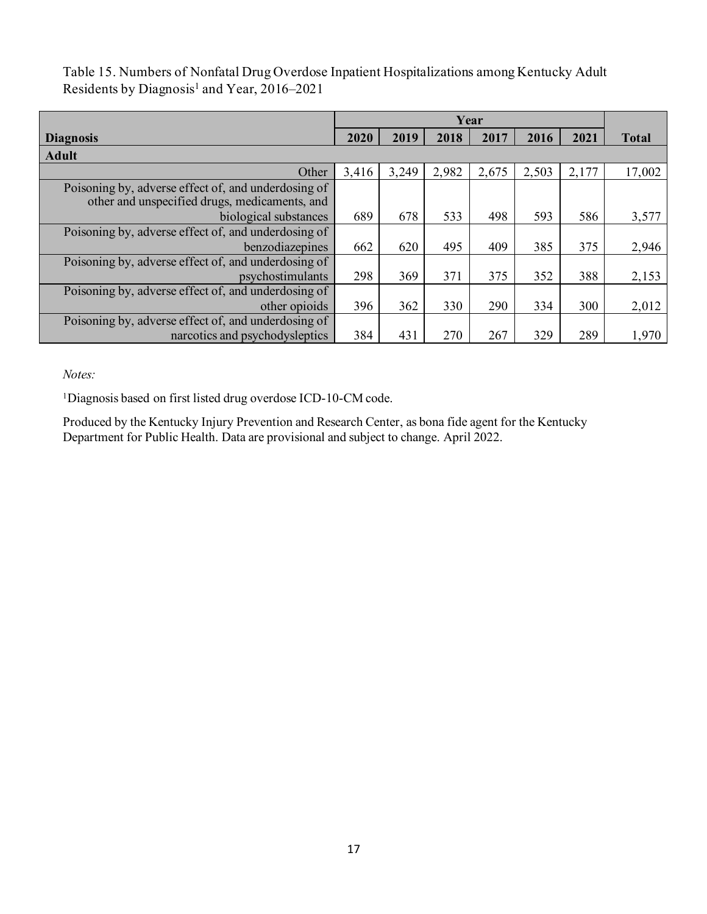<span id="page-16-0"></span>Table 15. Numbers of Nonfatal Drug Overdose Inpatient Hospitalizations among Kentucky Adult Residents by Diagnosis1 and Year, 2016–2021

|                                                                                                      |       | Year  |       |       |       |       |              |
|------------------------------------------------------------------------------------------------------|-------|-------|-------|-------|-------|-------|--------------|
| <b>Diagnosis</b>                                                                                     | 2020  | 2019  | 2018  | 2017  | 2016  | 2021  | <b>Total</b> |
| <b>Adult</b>                                                                                         |       |       |       |       |       |       |              |
| Other                                                                                                | 3,416 | 3,249 | 2,982 | 2,675 | 2,503 | 2,177 | 17,002       |
| Poisoning by, adverse effect of, and underdosing of<br>other and unspecified drugs, medicaments, and |       |       |       |       |       |       |              |
| biological substances                                                                                | 689   | 678   | 533   | 498   | 593   | 586   | 3,577        |
| Poisoning by, adverse effect of, and underdosing of<br>benzodiazepines                               | 662   | 620   | 495   | 409   | 385   | 375   | 2,946        |
| Poisoning by, adverse effect of, and underdosing of<br>psychostimulants                              | 298   | 369   | 371   | 375   | 352   | 388   | 2,153        |
| Poisoning by, adverse effect of, and underdosing of<br>other opioids                                 | 396   | 362   | 330   | 290   | 334   | 300   | 2,012        |
| Poisoning by, adverse effect of, and underdosing of<br>narcotics and psychodysleptics                | 384   | 431   | 270   | 267   | 329   | 289   | 1,970        |

*Notes:* 

1Diagnosis based on first listed drug overdose ICD-10-CM code.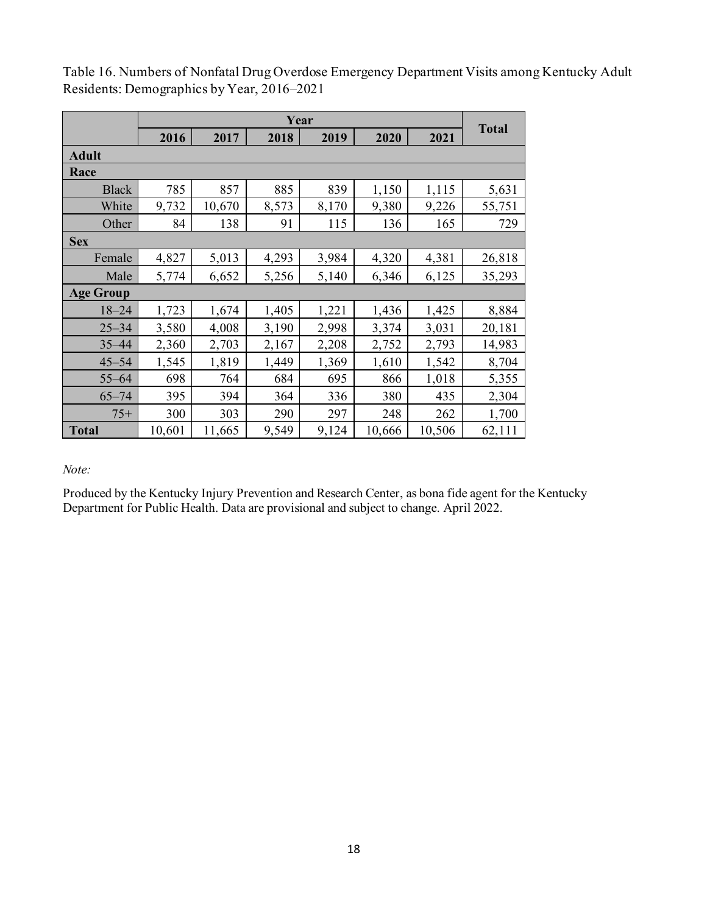|                  | Year   |        |       |       |        |        |              |  |
|------------------|--------|--------|-------|-------|--------|--------|--------------|--|
|                  | 2016   | 2017   | 2018  | 2019  | 2020   | 2021   | <b>Total</b> |  |
| <b>Adult</b>     |        |        |       |       |        |        |              |  |
| Race             |        |        |       |       |        |        |              |  |
| <b>Black</b>     | 785    | 857    | 885   | 839   | 1,150  | 1,115  | 5,631        |  |
| White            | 9,732  | 10,670 | 8,573 | 8,170 | 9,380  | 9,226  | 55,751       |  |
| Other            | 84     | 138    | 91    | 115   | 136    | 165    | 729          |  |
| <b>Sex</b>       |        |        |       |       |        |        |              |  |
| Female           | 4,827  | 5,013  | 4,293 | 3,984 | 4,320  | 4,381  | 26,818       |  |
| Male             | 5,774  | 6,652  | 5,256 | 5,140 | 6,346  | 6,125  | 35,293       |  |
| <b>Age Group</b> |        |        |       |       |        |        |              |  |
| $18 - 24$        | 1,723  | 1,674  | 1,405 | 1,221 | 1,436  | 1,425  | 8,884        |  |
| $25 - 34$        | 3,580  | 4,008  | 3,190 | 2,998 | 3,374  | 3,031  | 20,181       |  |
| $35 - 44$        | 2,360  | 2,703  | 2,167 | 2,208 | 2,752  | 2,793  | 14,983       |  |
| $45 - 54$        | 1,545  | 1,819  | 1,449 | 1,369 | 1,610  | 1,542  | 8,704        |  |
| $55 - 64$        | 698    | 764    | 684   | 695   | 866    | 1,018  | 5,355        |  |
| $65 - 74$        | 395    | 394    | 364   | 336   | 380    | 435    | 2,304        |  |
| $75+$            | 300    | 303    | 290   | 297   | 248    | 262    | 1,700        |  |
| <b>Total</b>     | 10,601 | 11,665 | 9,549 | 9,124 | 10,666 | 10,506 | 62,111       |  |

<span id="page-17-0"></span>Table 16. Numbers of Nonfatal Drug Overdose Emergency Department Visits among Kentucky Adult Residents: Demographics by Year, 2016–2021

#### *Note:*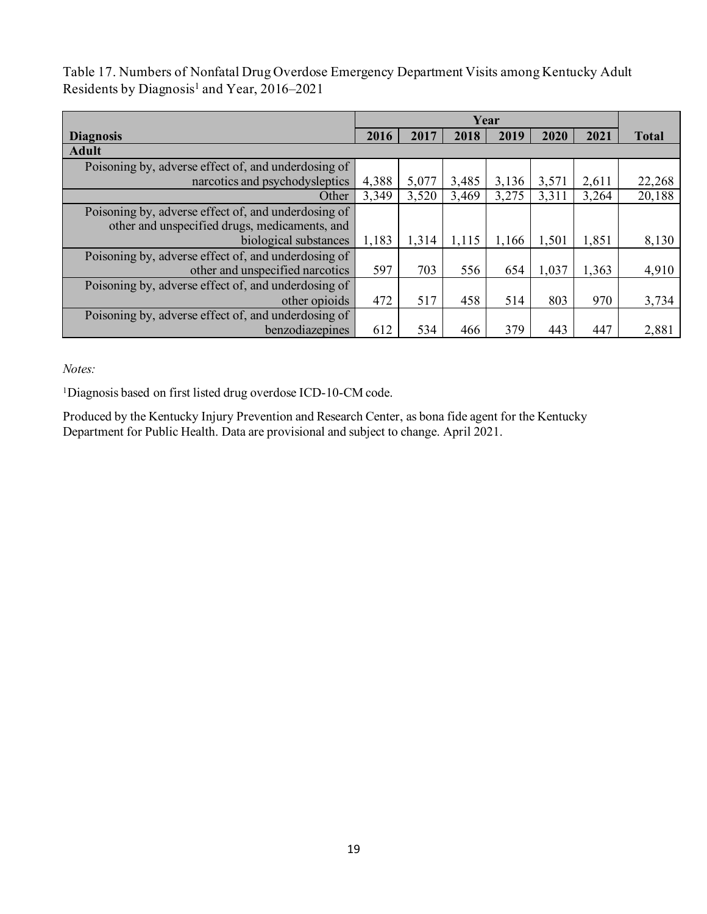<span id="page-18-0"></span>Table 17. Numbers of Nonfatal Drug Overdose Emergency Department Visits among Kentucky Adult Residents by Diagnosis1 and Year, 2016–2021

|                                                     |       | Year  |       |       |       |       |              |
|-----------------------------------------------------|-------|-------|-------|-------|-------|-------|--------------|
| <b>Diagnosis</b>                                    | 2016  | 2017  | 2018  | 2019  | 2020  | 2021  | <b>Total</b> |
| <b>Adult</b>                                        |       |       |       |       |       |       |              |
| Poisoning by, adverse effect of, and underdosing of |       |       |       |       |       |       |              |
| narcotics and psychodysleptics                      | 4,388 | 5,077 | 3,485 | 3,136 | 3,571 | 2,611 | 22,268       |
| Other                                               | 3,349 | 3,520 | 3,469 | 3,275 | 3,311 | 3,264 | 20,188       |
| Poisoning by, adverse effect of, and underdosing of |       |       |       |       |       |       |              |
| other and unspecified drugs, medicaments, and       |       |       |       |       |       |       |              |
| biological substances                               | 1,183 | 1,314 | 1,115 | 1,166 | 1,501 | 1,851 | 8,130        |
| Poisoning by, adverse effect of, and underdosing of |       |       |       |       |       |       |              |
| other and unspecified narcotics                     | 597   | 703   | 556   | 654   | 1,037 | 1,363 | 4,910        |
| Poisoning by, adverse effect of, and underdosing of |       |       |       |       |       |       |              |
| other opioids                                       | 472   | 517   | 458   | 514   | 803   | 970   | 3,734        |
| Poisoning by, adverse effect of, and underdosing of |       |       |       |       |       |       |              |
| benzodiazepines                                     | 612   | 534   | 466   | 379   | 443   | 447   | 2,881        |

*Notes:* 

1Diagnosis based on first listed drug overdose ICD-10-CM code.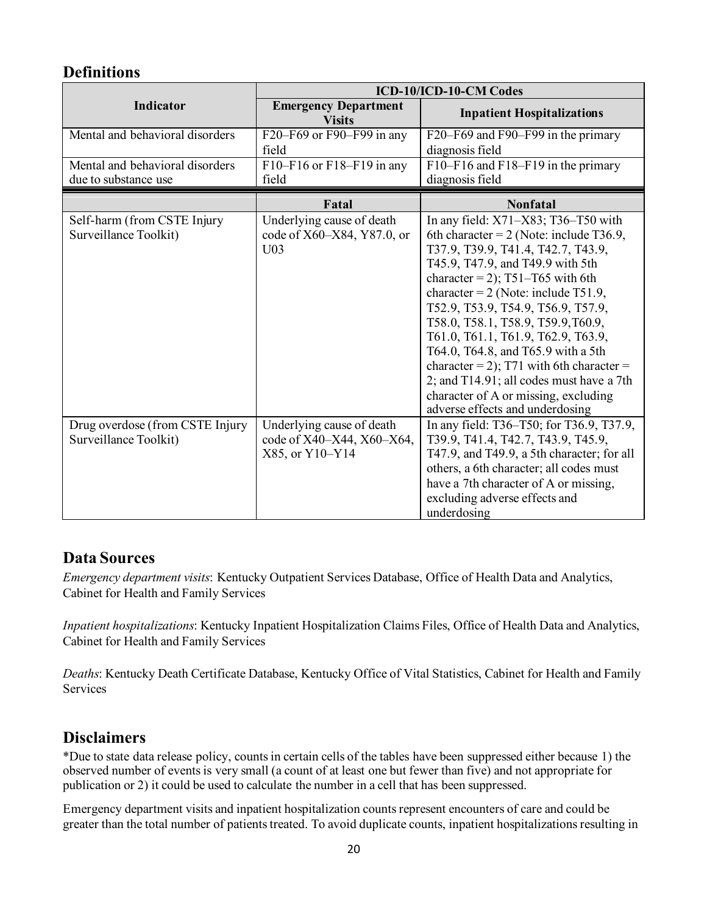## <span id="page-19-0"></span>**Definitions**

|                                 |                                              | ICD-10/ICD-10-CM Codes                     |  |  |  |
|---------------------------------|----------------------------------------------|--------------------------------------------|--|--|--|
| <b>Indicator</b>                | <b>Emergency Department</b><br><b>Visits</b> | <b>Inpatient Hospitalizations</b>          |  |  |  |
| Mental and behavioral disorders | F20–F69 or F90–F99 in any                    | F20–F69 and F90–F99 in the primary         |  |  |  |
|                                 | field                                        | diagnosis field                            |  |  |  |
| Mental and behavioral disorders | $F10-F16$ or $F18-F19$ in any                | F10-F16 and F18-F19 in the primary         |  |  |  |
| due to substance use            | field                                        | diagnosis field                            |  |  |  |
|                                 | Fatal                                        | <b>Nonfatal</b>                            |  |  |  |
| Self-harm (from CSTE Injury     | Underlying cause of death                    | In any field: $X71 - X83$ ; T36-T50 with   |  |  |  |
| Surveillance Toolkit)           | code of X60–X84, Y87.0, or                   | 6th character = $2$ (Note: include T36.9,  |  |  |  |
|                                 | U <sub>03</sub>                              | T37.9, T39.9, T41.4, T42.7, T43.9,         |  |  |  |
|                                 |                                              | T45.9, T47.9, and T49.9 with 5th           |  |  |  |
|                                 |                                              | character = 2); T51-T65 with 6th           |  |  |  |
|                                 |                                              | character = $2$ (Note: include T51.9,      |  |  |  |
|                                 |                                              | T52.9, T53.9, T54.9, T56.9, T57.9,         |  |  |  |
|                                 |                                              | T58.0, T58.1, T58.9, T59.9, T60.9,         |  |  |  |
|                                 |                                              | T61.0, T61.1, T61.9, T62.9, T63.9,         |  |  |  |
|                                 |                                              | T64.0, T64.8, and T65.9 with a 5th         |  |  |  |
|                                 |                                              | character = 2); T71 with 6th character =   |  |  |  |
|                                 |                                              | 2; and T14.91; all codes must have a 7th   |  |  |  |
|                                 |                                              | character of A or missing, excluding       |  |  |  |
|                                 |                                              | adverse effects and underdosing            |  |  |  |
| Drug overdose (from CSTE Injury | Underlying cause of death                    | In any field: T36-T50; for T36.9, T37.9,   |  |  |  |
| Surveillance Toolkit)           | code of X40-X44, X60-X64,                    | T39.9, T41.4, T42.7, T43.9, T45.9,         |  |  |  |
|                                 | X85, or Y10-Y14                              | T47.9, and T49.9, a 5th character; for all |  |  |  |
|                                 |                                              | others, a 6th character; all codes must    |  |  |  |
|                                 |                                              | have a 7th character of A or missing,      |  |  |  |
|                                 |                                              | excluding adverse effects and              |  |  |  |
|                                 |                                              | underdosing                                |  |  |  |

## <span id="page-19-1"></span>**Data Sources**

*Emergency department visits*: Kentucky Outpatient Services Database, Office of Health Data and Analytics, Cabinet for Health and Family Services

*Inpatient hospitalizations*: Kentucky Inpatient Hospitalization Claims Files, Office of Health Data and Analytics, Cabinet for Health and Family Services

*Deaths*: Kentucky Death Certificate Database, Kentucky Office of Vital Statistics, Cabinet for Health and Family Services

## <span id="page-19-2"></span>**Disclaimers**

\*Due to state data release policy, counts in certain cells of the tables have been suppressed either because 1) the observed number of events is very small (a count of at least one but fewer than five) and not appropriate for publication or 2) it could be used to calculate the number in a cell that has been suppressed.

Emergency department visits and inpatient hospitalization counts represent encounters of care and could be greater than the total number of patients treated. To avoid duplicate counts, inpatient hospitalizations resulting in